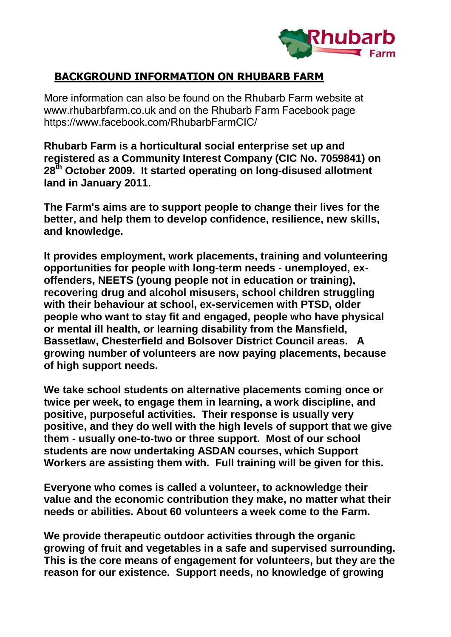

## **BACKGROUND INFORMATION ON RHUBARB FARM**

More information can also be found on the Rhubarb Farm website at www.rhubarbfarm.co.uk and on the Rhubarb Farm Facebook page https://www.facebook.com/RhubarbFarmCIC/

**Rhubarb Farm is a horticultural social enterprise set up and registered as a Community Interest Company (CIC No. 7059841) on 28th October 2009. It started operating on long-disused allotment land in January 2011.**

**The Farm's aims are to support people to change their lives for the better, and help them to develop confidence, resilience, new skills, and knowledge.**

**It provides employment, work placements, training and volunteering opportunities for people with long-term needs - unemployed, exoffenders, NEETS (young people not in education or training), recovering drug and alcohol misusers, school children struggling with their behaviour at school, ex-servicemen with PTSD, older people who want to stay fit and engaged, people who have physical or mental ill health, or learning disability from the Mansfield, Bassetlaw, Chesterfield and Bolsover District Council areas. A growing number of volunteers are now paying placements, because of high support needs.**

**We take school students on alternative placements coming once or twice per week, to engage them in learning, a work discipline, and positive, purposeful activities. Their response is usually very positive, and they do well with the high levels of support that we give them - usually one-to-two or three support. Most of our school students are now undertaking ASDAN courses, which Support Workers are assisting them with. Full training will be given for this.**

**Everyone who comes is called a volunteer, to acknowledge their value and the economic contribution they make, no matter what their needs or abilities. About 60 volunteers a week come to the Farm.**

**We provide therapeutic outdoor activities through the organic growing of fruit and vegetables in a safe and supervised surrounding. This is the core means of engagement for volunteers, but they are the reason for our existence. Support needs, no knowledge of growing**